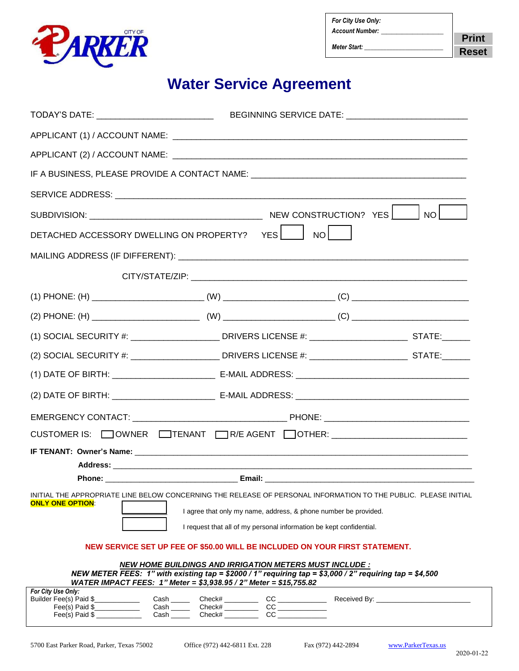

| For City Use Only:     |              |
|------------------------|--------------|
| <b>Account Number:</b> | <b>Print</b> |
| Meter Start:           | <b>Reset</b> |

## **Water Service Agreement**

| TODAY'S DATE: ______________________________                                                                                                                                                                                                  |                                                                                                                                                                                                                                                                                                                                                                                                                   | BEGINNING SERVICE DATE: _______________________________ |  |
|-----------------------------------------------------------------------------------------------------------------------------------------------------------------------------------------------------------------------------------------------|-------------------------------------------------------------------------------------------------------------------------------------------------------------------------------------------------------------------------------------------------------------------------------------------------------------------------------------------------------------------------------------------------------------------|---------------------------------------------------------|--|
|                                                                                                                                                                                                                                               |                                                                                                                                                                                                                                                                                                                                                                                                                   |                                                         |  |
|                                                                                                                                                                                                                                               |                                                                                                                                                                                                                                                                                                                                                                                                                   |                                                         |  |
| IF A BUSINESS, PLEASE PROVIDE A CONTACT NAME: ___________________________________                                                                                                                                                             |                                                                                                                                                                                                                                                                                                                                                                                                                   |                                                         |  |
|                                                                                                                                                                                                                                               |                                                                                                                                                                                                                                                                                                                                                                                                                   |                                                         |  |
|                                                                                                                                                                                                                                               |                                                                                                                                                                                                                                                                                                                                                                                                                   |                                                         |  |
| DETACHED ACCESSORY DWELLING ON PROPERTY? YES ____<br>$N$ ol l                                                                                                                                                                                 |                                                                                                                                                                                                                                                                                                                                                                                                                   |                                                         |  |
|                                                                                                                                                                                                                                               |                                                                                                                                                                                                                                                                                                                                                                                                                   |                                                         |  |
|                                                                                                                                                                                                                                               |                                                                                                                                                                                                                                                                                                                                                                                                                   |                                                         |  |
|                                                                                                                                                                                                                                               |                                                                                                                                                                                                                                                                                                                                                                                                                   |                                                         |  |
|                                                                                                                                                                                                                                               |                                                                                                                                                                                                                                                                                                                                                                                                                   |                                                         |  |
| (1) SOCIAL SECURITY #: _____________________DRIVERS LICENSE #: _________________________STATE:______                                                                                                                                          |                                                                                                                                                                                                                                                                                                                                                                                                                   |                                                         |  |
| (2) SOCIAL SECURITY #: _______________________DRIVERS LICENSE #: ___________________________STATE:_______                                                                                                                                     |                                                                                                                                                                                                                                                                                                                                                                                                                   |                                                         |  |
|                                                                                                                                                                                                                                               |                                                                                                                                                                                                                                                                                                                                                                                                                   |                                                         |  |
|                                                                                                                                                                                                                                               |                                                                                                                                                                                                                                                                                                                                                                                                                   |                                                         |  |
|                                                                                                                                                                                                                                               |                                                                                                                                                                                                                                                                                                                                                                                                                   |                                                         |  |
| CUSTOMER IS: OWNER OTENANT OR/E AGENT OTHER: CUSTOMER IS: OWNER OTENANT OR                                                                                                                                                                    |                                                                                                                                                                                                                                                                                                                                                                                                                   |                                                         |  |
|                                                                                                                                                                                                                                               |                                                                                                                                                                                                                                                                                                                                                                                                                   |                                                         |  |
|                                                                                                                                                                                                                                               |                                                                                                                                                                                                                                                                                                                                                                                                                   |                                                         |  |
| INITIAL THE APPROPRIATE LINE BELOW CONCERNING THE RELEASE OF PERSONAL INFORMATION TO THE PUBLIC. PLEASE INITIAL<br><b>ONLY ONE OPTION:</b><br>I agree that only my name, address, & phone number be provided.                                 |                                                                                                                                                                                                                                                                                                                                                                                                                   |                                                         |  |
| I request that all of my personal information be kept confidential.                                                                                                                                                                           |                                                                                                                                                                                                                                                                                                                                                                                                                   |                                                         |  |
| NEW SERVICE SET UP FEE OF \$50.00 WILL BE INCLUDED ON YOUR FIRST STATEMENT.                                                                                                                                                                   |                                                                                                                                                                                                                                                                                                                                                                                                                   |                                                         |  |
| <b>NEW HOME BUILDINGS AND IRRIGATION METERS MUST INCLUDE:</b><br>NEW METER FEES: 1" with existing tap = \$2000 / 1" requiring tap = \$3,000 / 2" requiring tap = \$4,500<br>WATER IMPACT FEES: 1" Meter = \$3,938.95 / 2" Meter = \$15,755.82 |                                                                                                                                                                                                                                                                                                                                                                                                                   |                                                         |  |
| For City Use Only:<br>Builder Fee(s) Paid \$<br>Fee(s) Paid \$____________                                                                                                                                                                    | $\frac{\text{Cash}}{\text{Cash}} \begin{array}{c}\n\text{Check}\n\end{array}\n\begin{array}{c}\n\text{Check}\n\end{array}\n\begin{array}{c}\n\text{Check}\n\end{array}\n\begin{array}{c}\n\text{Check}\n\end{array}\n\begin{array}{c}\n\text{Check}\n\end{array}\n\begin{array}{c}\n\text{Check}\n\end{array}\n\begin{array}{c}\n\text{Check}\n\end{array}\n\begin{array}{c}\n\text{C}\n\end{array}\n\end{array}$ |                                                         |  |